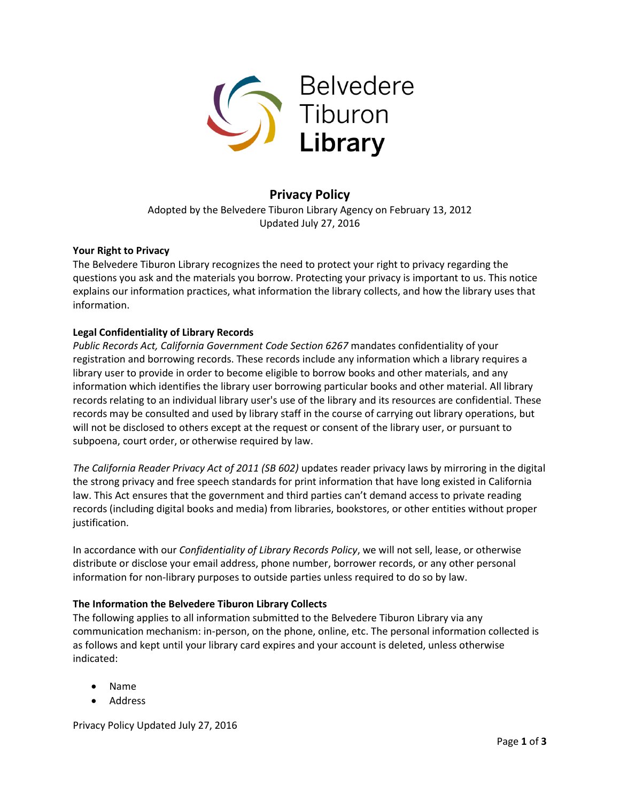

# **Privacy Policy**

Adopted by the Belvedere Tiburon Library Agency on February 13, 2012 Updated July 27, 2016

### **Your Right to Privacy**

The Belvedere Tiburon Library recognizes the need to protect your right to privacy regarding the questions you ask and the materials you borrow. Protecting your privacy is important to us. This notice explains our information practices, what information the library collects, and how the library uses that information.

## **Legal Confidentiality of Library Records**

*Public Records Act, California Government Code Section 6267* mandates confidentiality of your registration and borrowing records. These records include any information which a library requires a library user to provide in order to become eligible to borrow books and other materials, and any information which identifies the library user borrowing particular books and other material. All library records relating to an individual library user's use of the library and its resources are confidential. These records may be consulted and used by library staff in the course of carrying out library operations, but will not be disclosed to others except at the request or consent of the library user, or pursuant to subpoena, court order, or otherwise required by law.

*The California Reader Privacy Act of 2011 (SB 602)* updates reader privacy laws by mirroring in the digital the strong privacy and free speech standards for print information that have long existed in California law. This Act ensures that the government and third parties can't demand access to private reading records (including digital books and media) from libraries, bookstores, or other entities without proper justification.

In accordance with our *Confidentiality of Library Records Policy*, we will not sell, lease, or otherwise distribute or disclose your email address, phone number, borrower records, or any other personal information for non-library purposes to outside parties unless required to do so by law.

### **The Information the Belvedere Tiburon Library Collects**

The following applies to all information submitted to the Belvedere Tiburon Library via any communication mechanism: in-person, on the phone, online, etc. The personal information collected is as follows and kept until your library card expires and your account is deleted, unless otherwise indicated:

- Name
- Address

Privacy Policy Updated July 27, 2016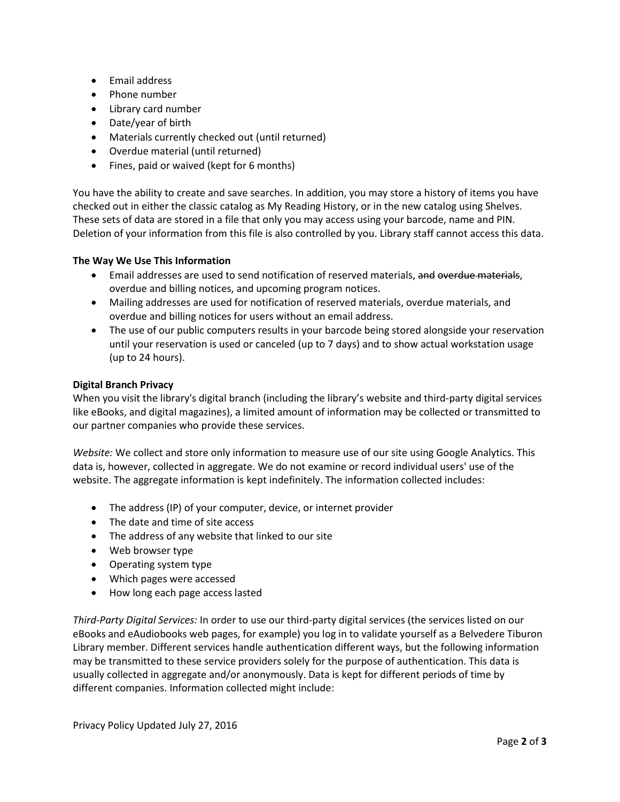- Email address
- Phone number
- Library card number
- Date/year of birth
- Materials currently checked out (until returned)
- Overdue material (until returned)
- Fines, paid or waived (kept for 6 months)

You have the ability to create and save searches. In addition, you may store a history of items you have checked out in either the classic catalog as My Reading History, or in the new catalog using Shelves. These sets of data are stored in a file that only you may access using your barcode, name and PIN. Deletion of your information from this file is also controlled by you. Library staff cannot access this data.

### **The Way We Use This Information**

- **Email addresses are used to send notification of reserved materials, and overdue materials,** overdue and billing notices, and upcoming program notices.
- Mailing addresses are used for notification of reserved materials, overdue materials, and overdue and billing notices for users without an email address.
- The use of our public computers results in your barcode being stored alongside your reservation until your reservation is used or canceled (up to 7 days) and to show actual workstation usage (up to 24 hours).

### **Digital Branch Privacy**

When you visit the library's digital branch (including the library's website and third-party digital services like eBooks, and digital magazines), a limited amount of information may be collected or transmitted to our partner companies who provide these services.

*Website:* We collect and store only information to measure use of our site using Google Analytics. This data is, however, collected in aggregate. We do not examine or record individual users' use of the website. The aggregate information is kept indefinitely. The information collected includes:

- The address (IP) of your computer, device, or internet provider
- The date and time of site access
- The address of any website that linked to our site
- Web browser type
- Operating system type
- Which pages were accessed
- How long each page access lasted

*Third-Party Digital Services:* In order to use our third-party digital services (the services listed on our eBooks and eAudiobooks web pages, for example) you log in to validate yourself as a Belvedere Tiburon Library member. Different services handle authentication different ways, but the following information may be transmitted to these service providers solely for the purpose of authentication. This data is usually collected in aggregate and/or anonymously. Data is kept for different periods of time by different companies. Information collected might include: